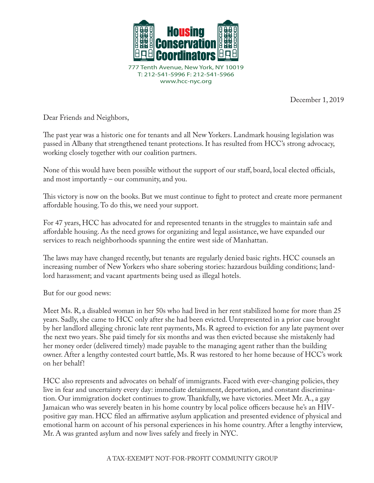

December 1, 2019

Dear Friends and Neighbors,

The past year was a historic one for tenants and all New Yorkers. Landmark housing legislation was passed in Albany that strengthened tenant protections. It has resulted from HCC's strong advocacy, working closely together with our coalition partners.

None of this would have been possible without the support of our staff, board, local elected officials, and most importantly – our community, and you.

This victory is now on the books. But we must continue to fight to protect and create more permanent affordable housing. To do this, we need your support.

For 47 years, HCC has advocated for and represented tenants in the struggles to maintain safe and affordable housing. As the need grows for organizing and legal assistance, we have expanded our services to reach neighborhoods spanning the entire west side of Manhattan.

The laws may have changed recently, but tenants are regularly denied basic rights. HCC counsels an increasing number of New Yorkers who share sobering stories: hazardous building conditions; landlord harassment; and vacant apartments being used as illegal hotels.

But for our good news:

Meet Ms. R, a disabled woman in her 50s who had lived in her rent stabilized home for more than 25 years. Sadly, she came to HCC only after she had been evicted. Unrepresented in a prior case brought by her landlord alleging chronic late rent payments, Ms. R agreed to eviction for any late payment over the next two years. She paid timely for six months and was then evicted because she mistakenly had her money order (delivered timely) made payable to the managing agent rather than the building owner. After a lengthy contested court battle, Ms. R was restored to her home because of HCC's work on her behalf!

HCC also represents and advocates on behalf of immigrants. Faced with ever-changing policies, they live in fear and uncertainty every day: immediate detainment, deportation, and constant discrimination. Our immigration docket continues to grow. Thankfully, we have victories. Meet Mr. A., a gay Jamaican who was severely beaten in his home country by local police officers because he's an HIVpositive gay man. HCC filed an affirmative asylum application and presented evidence of physical and emotional harm on account of his personal experiences in his home country. After a lengthy interview, Mr. A was granted asylum and now lives safely and freely in NYC.